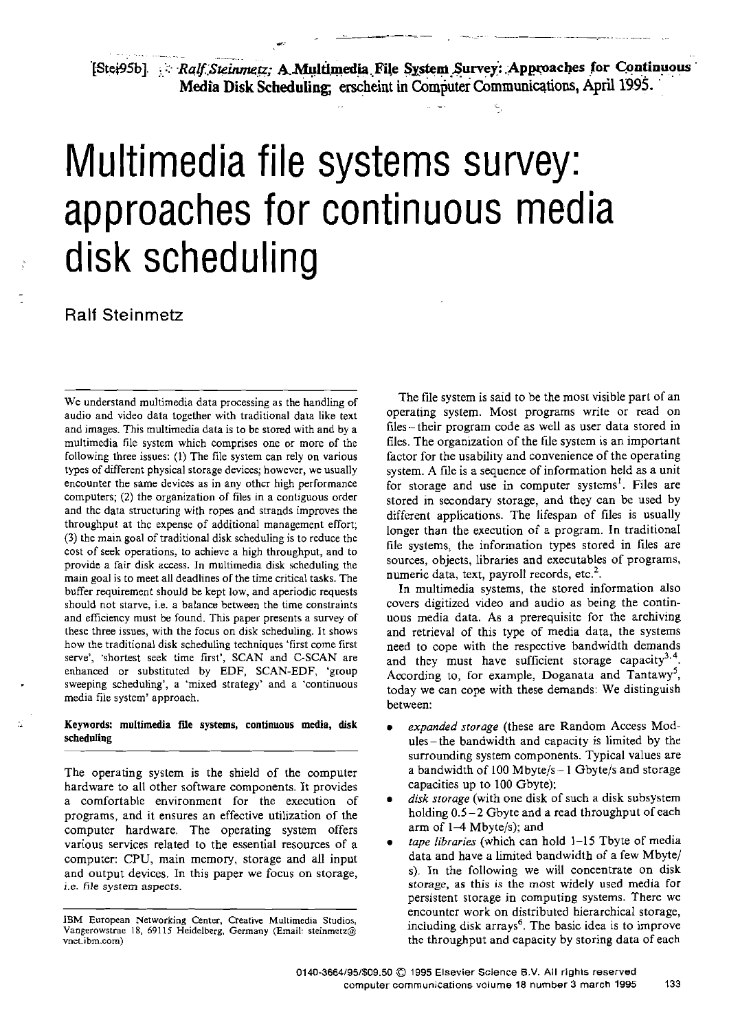. ~ -~ ~ ~  $[Step 5b]$ . *alf Steinmetz; A Multimedia File System Survey: Approaches for Continuous* Media Disk Scheduling, erscheint in Computer Communications, April 1995.

# Multimedia file systems survey: approaches for continuous media disk scheduling

Ralf Steinmetz

We understand multimedia data processing as the handling of audio and video data together with traditional data like text and images. This multimedia data is to be stored with and by a multimedia file system which comprises one or more of the following three issues: (1) The file system can rely on various types of different physical storage devices; however, we usually encounter the same devices as in any othcr high performance computers; (2) the organization of files in a contiguous order and the data structuring with ropes and strands improves the throughput at thc expense of additional management effort; **(3)** the main goal of traditional disk scheduling is to reduce the cost of seek operations, to achieve a high throughput, and to provide a fair disk access. In multimedia disk scheduling the main goal is to meet all deadlines of the time critical tasks. The buffer requirement should be kept low, and aperiodic requests should not starve, i.e. a balance between the time constrainrs and efficiency must be found. This paper presents a survey of these three issues, with the focus on disk scheduling. It shows how the traditional disk scheduling techniques 'first come first serve', 'shortest seek time first', SCAN and C-SCAN are enhanced or substituted by EDF, SCAN-EDF, 'group sweeping scheduling', a 'mixed strategy' and a 'continuous media file systcm' approach.

#### Keywards: multimedia fde systems, continuaus media, disk scheduling

The operating system is the shield of the computer hardware to all other software components. It provides a comfortable environment for the execution of programs, and it ensures an effective utilization of the computer hardware. The operating system offers various services related to the essential resources of a computer: CPU, main memory. storage and all input and output devices. In this paper we focus on storage, i.e. file system aspects.

The file system is said to be the most visible part of an operating system. Most programs write or read on files- their program code as well as user data stored in files. The organization of the file system is an important factor for the usability and convenience of the operating system. A file is a sequence of information held as a unit for storage and use in computer systems<sup>1</sup>. Files are stored in secondary storage, and they can be used by different applications. The lifespan of files is usually longer than the execution of a program. In traditional file systems, the information types stored in files are sources, objects, libraries and executables of programs, numeric data, text, payroll records, etc.<sup>2</sup>.

In multimedia systems, the stored information also covers digitized video and audio as being the continuous media data. As a prerequisite for the archiving and retrieval of this type of media data, the systems need to cope with the respective bandwidth demands and they must have sufficient storage capacity<sup>3,4</sup>. According to, for example, Doganata and Tantawy<sup>5</sup>, today we can cope with these demands: We distinguish between:

- *expanded storage* (these are Random Access Modules-the bandwidth and capacity is limited by the surrounding system components. Typical values are a bandwidth of 100 Mbyte/s-1 Gbyte/s and storage capacities up to 100 Gbyte);
- *disk Storage* (with one disk of such a disk subsystem holding 0.5-2 Gbyte and a read throughput of each arm of  $1-4$  Mbyte/s); and
- *tape libraries* (which can hold 1-15 Tbyte of media data and have a limited bandwidth of a few Mbyte/ s). In the following we will concentrate on disk storage, as this **is** the most widely used media for persistent storage in computing systems. There we encounter work on distributed hierarchical storage, including disk arrays<sup>6</sup>. The basic idea is to improve the throughput and capacity by storing data of each

IBM **Eurapean** Netwarking **Center, Creative** Multimedia Studios, Vangerowstrae 18, 69115 Heidelberg. Germany (Email: steinmetz@ met.ibm.cam)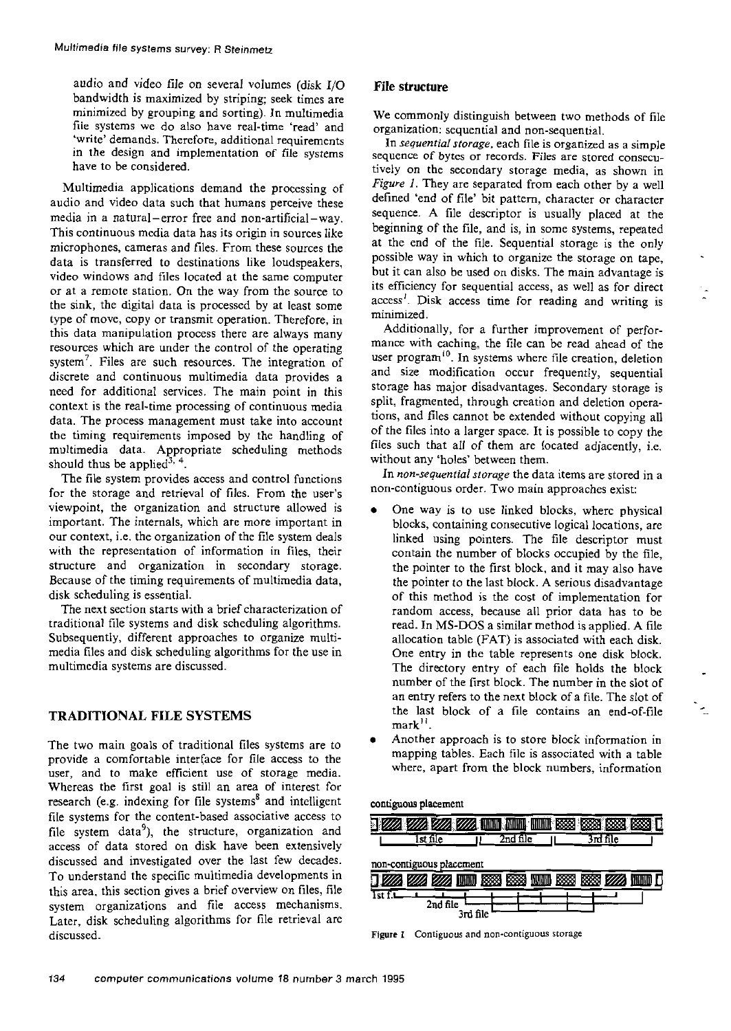audio and video file on several volumes (disk  $I/O$ bandwidth is maximized by striping; seek times are minimized by grouping and sorting). In multimedia fiie systems we do also have real-time 'read' and 'write' demands. Therefore, additional requirements in the design and implementation of file systems have to be considered.

Multimedia applications demand the processing of audio and video data such that humans perceive these media in a natural-error free and non-artificial-way. This continuous media data has its origin in sources like microphones, cameras and files. From these sources the data is transferred to destinations like loudspeakers, video windows and files located at the Same computer or at a remote station. On the way from the source to the sink, the digital data is processed by at least some type of move, copy or transmit operation. Therefore, in this data manipulation process there are always many resources which are under the control of the operating system<sup>7</sup>. Files are such resources. The integration of discrete and continuous multimedia data provides a need for additional services. The main point in this context is the real-time processing of continuous media data. The process management must take into account the timing requirements imposed by the handling of multimedia data. Appropriate scheduling methods should thus be applied<sup>3, 4</sup>.

The file system provides access and control functions for the storage and retrieval of files. From the user's viewpoint, the organization and structure allowed is important. The internals, which are more important in our context, i.e. the organization of the file system deals with the representation of information in files, their structure and organization in secondary storage. Because of the timing requirements of multimedia data, disk scheduling is essential.

The next section starts with a brief characterization of traditional file systems and disk scheduling algorithms. Subsequently, different approaches to organize multimedia files and disk scheduling algorithms for the use in multimedia systems are discussed.

# **TRADITIONAL FILE SYSTEMS**

The two main goals of traditional files systems are to provide a comfortable interface for file access to the user, and to make efficient use of storage media. Whereas the first goal is still an area of interest for research (e.g. indexing for file systems<sup>8</sup> and intelligent file systems for the content-based associative access to file systems for the content-based associative access to **1999 222 222 100 mm nm 2000 2000 2000 2000**<br>File system data<sup>9</sup>), the structure, organization and **1999 1st file 11 2nd file 11 3nd file** access of data stored on disk have been extensively discussed and investigated over the last few decades. non-contiguous placement To understand the specific multimedia developments in 9 this area. this section gives a brief overview on files, file ist **<sup>I</sup>** system organizations and file access mechanisms.  $\frac{1}{2}$  and file  $\frac{1}{3}$  and file Later, disk scheduling algorithms for file retrieval are discussed. *discussed. discussed. discussed. non-contiguous storage <b>1 Contiguous and non-contiguous storage 1 Contiguous Storage* 

# **File structure**

We commonly distinguish between two methods of file organization: sequential and non-sequential.

In sequential storage, each file is organized as a simple sequence of bytes or records. Files are stored consecutively on the secondary storage media, as shown in Figure 1. They are separated from each other by a well defined 'end of file' bit Pattern, character or character sequence. A file descriptor is usually placed at the beginning of the file, and is, in some systems, repeated at the end of the file. Sequential storage is the only possible way in which to organize the storage on tape, but it can also be used on disks. The main advantage is its efficiency for sequential access, as well as for direct  $access<sup>1</sup>$ . Disk access time for reading and writing is minimized.

Additionally, for a further improvement of performance with caching, the file can be read ahead of the user program<sup>10</sup>. In systems where file creation, deletion and size modification occur frequently, sequential storage has major disadvantages. Secondary storage is split, fragmented, through creation and deletion operations, and files cannot be extended without copying all of the files into a larger space. It is possible to copy the files such that all of them are located adjacently, i.e. without any 'holes' between them.

In non-sequential storage the data items are stored in a non-contiguous order. Two main approaches exist:

- One way is to use linked blocks, where physical blocks, containing consecutive logical locations, are linked using pointers. The file descriptor must contain the number of blocks occupied by the file, the pointer to the first block, and it may also have the pointer to the last block. A senous disadvantage of this method is the cost of implementation for random access, because all prior data has to be read. In MS-DOS a similar method is applied. A file allocation table (FAT) is associated with each disk. One entry in the table represents one disk block. The directory entry of each file holds the block number of the first block. The number in the slot of an entry refers to the next block of a file. The slot of the last block of a file contains an end-of-file mark<sup>11</sup>.
- **b** Another approach is to store block information in mapping tables. Each file is associated with a table where, apart from the block numbers, information

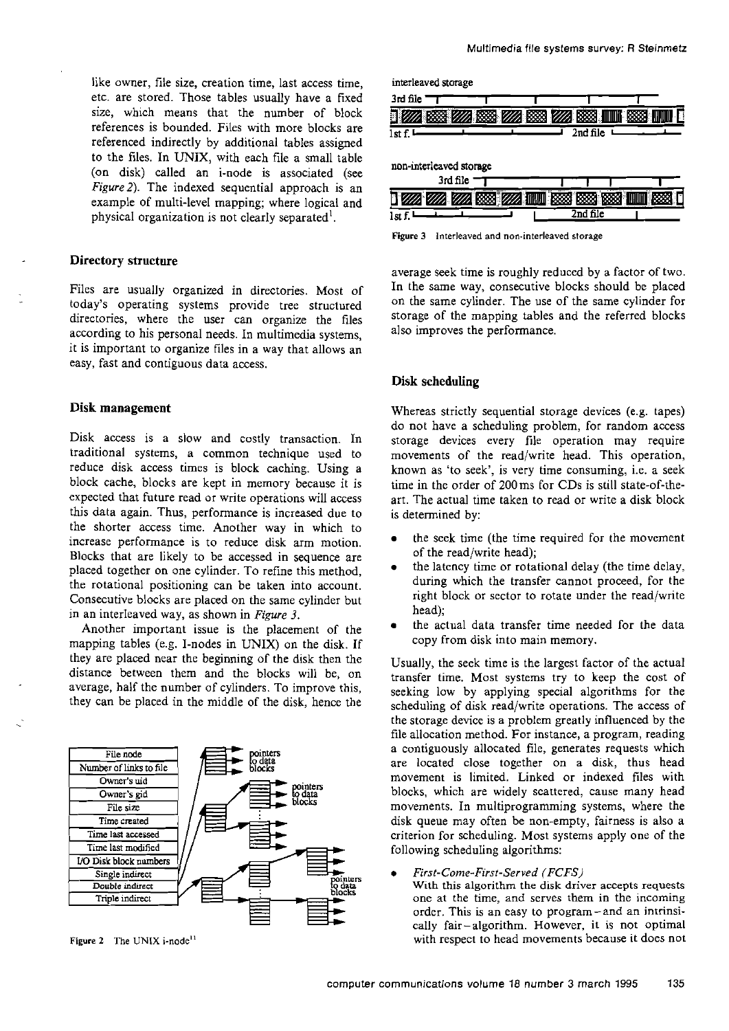like owner, file size, creation time, last access time. interleaved storage etc. are stored. Those tables usually have a fixed size, which means that the number of block references is bounded. Files with more blocks are referenced indirectly by additional tables assigned to the files. In UNIX, with each file a small table (on disk) called an i-node is associated (see Figure 2). The indexed sequential approach is an example of multi-level mapping; where logical and physical organization is not clearly separated<sup>1</sup>.

#### **Directory structure**

Files are usually organized in directories. Most of today's operating systems provide tree structured directories, where the user can organize the files according to his personal needs. In multimedia systems, it is important to organize files in a way that allows an easy, fast and contiguous data access.

#### **Disk management**

Disk access is a slow and costly transaction. In traditional systems, a common technique used to reduce disk access times is block caching. Using a block cache, blocks are kept in memory because it is expected that future read or write operations will access this data again. Thus, performance is increased due to the shorter access time. Another way in which to increase performance is to reduce disk arm motion. Blocks that are likely to be accessed in sequence are placed together on one cylinder. To refine this method, the rotational positioning can be taken into account. Consecutive blocks are placed on the Same cylinder but in an interleaved way, as shown in Figure **3.** 

Another important issue is the placement of the mapping tables (e.g. I-nodes in UNIX) on the disk. If they are placed near the beginning of the disk then the distance between them and the blocks will be, on average, half the number of cylinders. To improve this, they can be placed in the middle of the disk, hence the







**Figure 3 lnterleaved and non-interleaved Storage** 

average seek time is roughly reduced by a factor of two. In the same way, consecutive blocks should be placed on the same cylinder. The use of the same cylinder for storage of the mapping tables and the referred blocks also improves the performance.

#### **Disk scheduling**

Whereas strictly sequential storage devices (e.g. tapes) do not have a scheduling problem, for random access storage devices every file operation may require movements of the read/write head. This operation, known as 'to seek', is very time consuming, i.e. a seek time in the order of 200ms for CDs is still state-of-theart. The actual time taken to read or write a disk block is determined by:

- the seek time (the time required for the movernent of the read/write head);
- the latency time or rotational delay (the time delay, during which the transfer cannot proceed, for the right block or sector to rotate under the read/write head);
- the actual data transfer time needed for the data copy from disk into main memory.

Usually, the seek time is the largest factor of the actual transfer time. Most systems try to keep the cost of seeking low by applying special algorithms for the scheduling of disk read/write operations. The access of the storage device is a problem greatly influenced by the file allocation method. For instance, a program, reading a contiguously allocated file, generates requests which are located close together on a disk, thus head movement is limited. Linked or indexed files with blocks, which are widely scattered, cause many head movements. In multiprogramming systems, where the disk queue may often be non-empty, fairness is also a criterion for scheduling. Most systems apply one of the following scheduling algorithms:

First-Come-First-Served (FCFS)

With this algorithm the disk driver accepts requests one at the time, and serves them in the incoming order. This is an easy to program-and an intrinsically fair-algorithm. However, it is not optimal with respect to head movements because it does not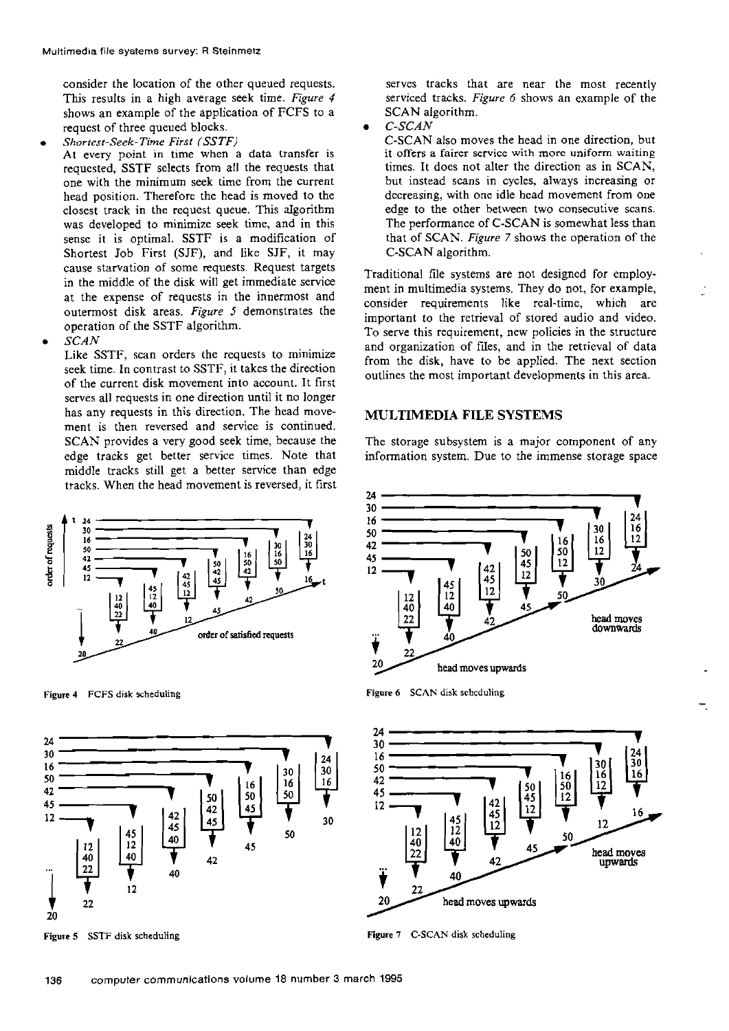consider the location of the other queued requests. This results in a high average seek time. Figure 4 shows an example of the application of FCFS to a request of three queued blocks.<br>Shortest-Seek-Time First (SSTF) Shows an example of the application of FCFS to a<br>request of three queued blocks.<br>At every point in time when a data transfer is

- 
- requested, SSTF selects from all the requests that one with the minimum seek time from the current head position. Therefore the head is moved to the closest track in the request queue. This aigorithm was developed to minimize seek time, and in this sense it is optimal. SSTF is a modification of Shortest Job First (SJF), and like SJF, it may cause starvation of some requests. Request targets in the middle of the disk will get immediate service at the expense of requests in the innermost and outermost disk areas. Figure 5 demonstrates the operation of the SSTF algorithm.
- **SCAN**

Like SSTF, scan orders the requests to minimize seek time. In contrast to SSTF, it takes the direction of the current disk movement into account. It first serves all requests in one direction until it no longer has any requests in this direction. The head movement is then reversed and service is continued. SCAN provides a very good seek time, because the edge tracks get better service times. Note that middle tracks still get a better service than edge tracks. When the head movement is reversed, it first





**Figurs 5 SSTF disk scheduling** 

serves tracks that are near the most recently serviced tracks. Figure 6 shows an example of the SCAN algorithm.

C-SCAN

C-SCAN also moves the head in one direction, but it offcrs **a** fairer service with more uniform waiting times. It does not alter the direction as in SCAN, but instead scans in cycles, always increasing or decreasing, with one idle head movement from one edge to the other between two consecutive scans. The performance of C-SCAN is somewhat less than that of SCAN. Figure **7** shows the operation of the C-SCAN algorithm.

Traditional file systems are not designed for employment in multimedia systems. They do not, for example, consider requirements like real-time, which are important to the retrieval of stored audio and video. To serve this requirement, new policies in the structure and organization of fiIes, and in the retrieval of data from the disk, have to be applied. The next section outlines the most important developments in this area.

# **MULTIMEDIA FILE SYSTEMS**

The storage subsystem is a major component of any information System. Due to the immense storage space



**Figure 4** FCFS disk scheduling **Figure 6** SCAN disk scheduling



**Figure 7 C-SCAN disk xheduling**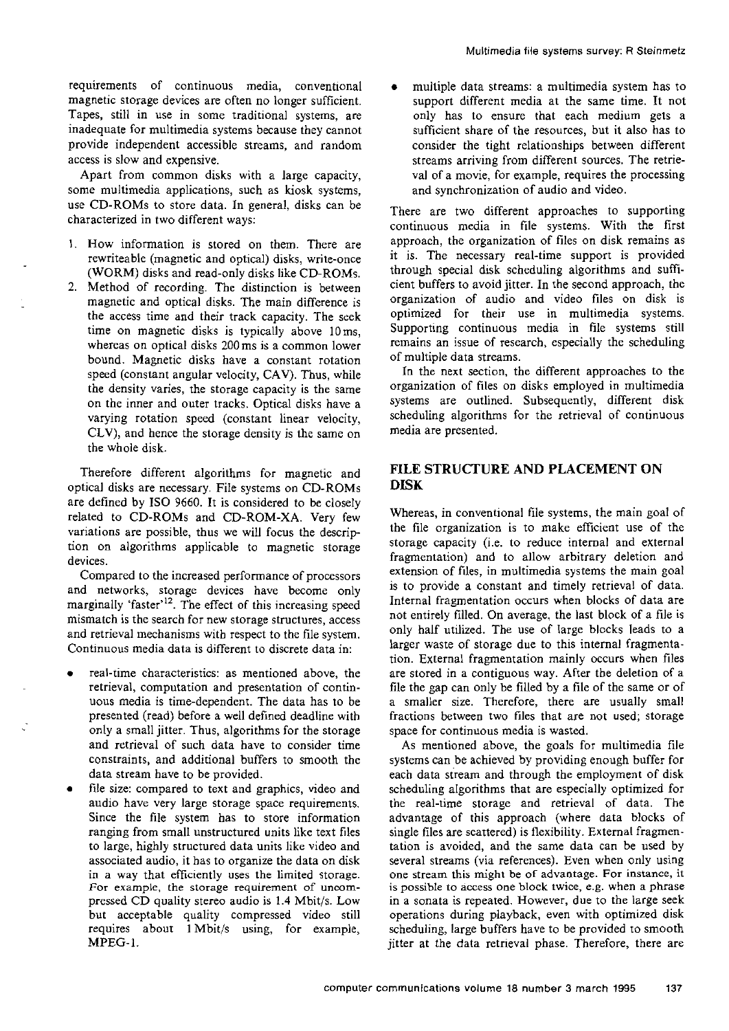requirements of continuous media, conventional magnetic storage devices are often no longer sufficient. Tapes, still in use in some traditional systems, are inadequate for multimedia systems because they cannot provide independent accessihle streams, and random access is slow and expensive.

Apart from common disks with a large capacity, some multimedia applications, such as kiosk systems, use CD-ROMS to store data. In general, disks can be characterized in two different ways:

- 1. How information is stored on them. There are rewriteable (magnetic and optical) disks, write-once (WORM) disks and read-only disks like CD-ROMS.
- 2. Metbod of recording. The distinction is between magnetic and optical disks. The main difference is the access time and their track capacity. The seek time on magnetic disks is typically above 10ms, whereas on optical disks 200 ms is a common lower bound. Magnetic disks have a constant rotation speed (constant angular velocity, CAV). Thus, while the density varies, the storage capacity is the Same on the inner and outer tracks. Optical disks have a varying rotation speed (constant linear velocity, CLV), and hence the storage density is the Same on the whole disk.

Therefore different algorithms for magnetic and optical disks are necessary. File systems on CD-ROMS are defined by ISO 9660. It is considered to be closely related to CD-ROMS and CD-ROM-XA. Very few variations are possible, thus we will focus the description on algorithms applicable to magnetic storage devices.

Compared to the increased performance of processors and networks, storage devices have become only marginally 'faster'<sup>12</sup>. The effect of this increasing speed mismatch is tbe search for new storage structures, access and retrieval mecbanisms with respect to the file system. Continuous media data is different to discrete data in:

- real-time characteristics: as mentioned above, the retrieval, computation and presentation of continuous media is time-dependent. The data has to be presented (read) before a well defined deadline with only a small jitter. Thus, algorithms for the storage and retrieval of such data have to consider time constraints, and additional buffers to smooth the data stream have to be provided.
- file size: compared to text and graphics, video and audio have very large storage space requirements. Since the file system has to store information ranging from small unstructured units like text files to large, highly structured data units like video and associated audio, it has to organize the data on disk in a way that efficiently uses the limited storage. For example, the storage requirement of uncompressed CD quality stereo audio is 1.4 Mbit/% Low but acceptable quality compressed video still requires about 1 Mbit/s using, for example, MPEG-1.

multiple data streams: a multimedia system has to support different media at the Same time. It not only has to ensure that each medium gets a sufficient share of the resources, but it also has to consider the tight relationships hetween different streams arriving from different sources. The retrieval of a movie, for example, requires the processing and synchronization of audio and video.

There are two different approaches to supporting continuous media in file systems. With the first approach, the organization of files on disk remains as it is. The necessary real-time support is provided through special disk scheduling algorithms and sufficient buffers to avoid jitter. In the second approach, tbe organization of audio and video files on disk is optimized for their use in multimedia systems. Supporting continuous media in file systems still remains an issue of research, especially the scheduling of multiple data streams.

In the next section, the different approaches to the organization of files on disks employed in multimedia systems are outlined. Subsequently, different disk scheduling algorithms for the retrieval of continuous media are presented.

# **FILE STRUCTURE AND PLACEMENT ON DISK**

Whereas, in conventional file systems, the main goal of the file organization is to make efficient use of the storage capacity (i.e. to reduce internal and external fragmentation) and to allow arbitrary deletion and extension of files, in multimedia systems the main goal is to provide a constant and timely retrieval of data. Interna1 fragmentation occurs when blocks of data are not entirely filled. On average, the last hlock of a file is only half utilized. The use of large blocks leads to a larger waste of storage due to this internal fragmentation. External fragmentation mainly occurs when files are stored in a contiguous way. After tbe deletion of a file the gap can only be filled by a file of the Same or of a smaller size. Therefore, there are usually small fractions between two files that are not used; storage space for continuous media is wasted.

As mentioned above, the goals for multimedia file systems can be achieved by providing enough buffer for each data stream and through the employment of disk scheduling algorithms that are especially optimized for the real-time storage and retrieval of data. The advantage of this approach (where data blocks of single files are scattered) is flexihility. External fragmentation is avoided, and the Same data can be used by several streams (via references). Even when only using one stream this might be of advantage. For instance, it is possible to access one block twice, e.g. when a phrase in a Sonata is repeated. However, due to the large seek Operations during playback, even with optimized disk scheduling, large huffers have to be provided to smooth jitter at the data retrieval phase. Therefore, there are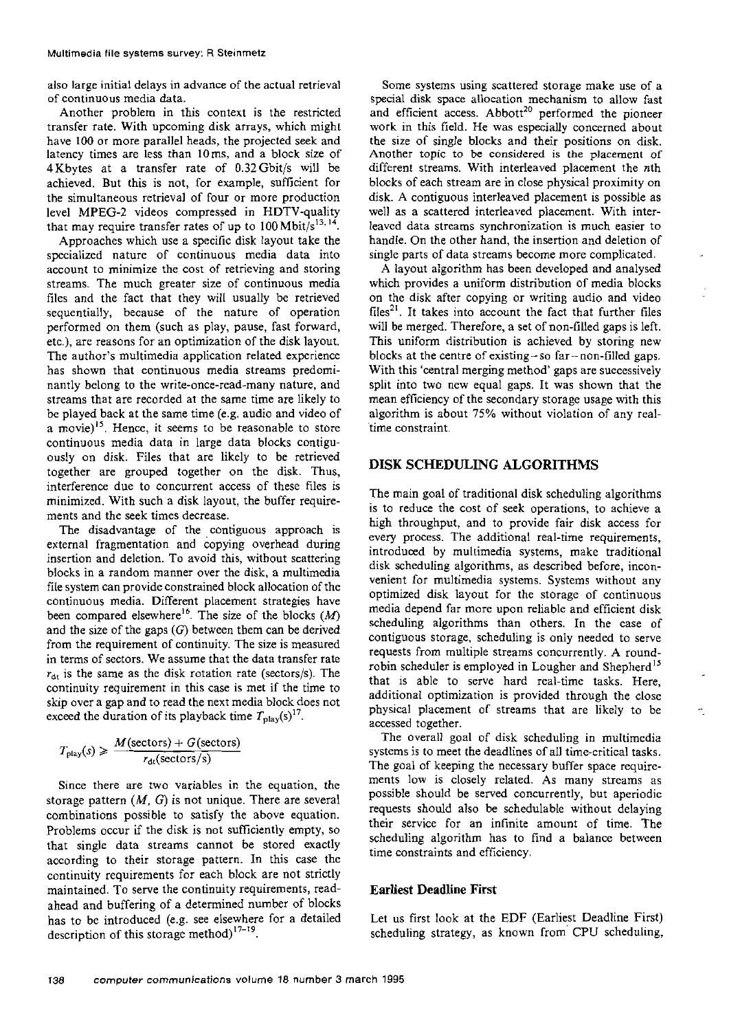also large initial delays in advance of the actual retrieval of continuous media data.

Another problem in this context is the restricted transfer rate. With upcoming disk arrays, which might have 100 or more parallel heads, the projected seek and latency times are less than IOms, and a block size of  $4$ Kbytes at a transfer rate of  $0.32$  Gbit/s will be achieved. But this is not, for example, sufficient for the simultaneous retrieval of four or more production level MPEG-2 videos compressed in HDTV-quality that may require transfer rates of up to  $100 \text{ Mbit/s}^{13,14}$ .

Approaches which use a specific disk layout take the specialized nature of continuous media data into account to minimize the cost of retrieving and storing streams. The much greater size of continuous media files and the fact that they will usually be retrieved sequentially, because of the nature of operation performed on them (such as play, pause, fast forward, etc.), are reasons for an optimization of the disk layout. The author's multimedia application related experience has shown that continuous media streams predominantly belong to the write-once-read-many nature, and streams that are recorded at the Same time are likely to be played back at the Same time (e.g. audio and video of a movie)<sup>15</sup>. Hence, it seems to be reasonable to store continuous media data in large data blocks contiguously on disk. Files that are likely to be retrieved together are grouped together on the disk. Thus, interference due to concurrent access of these files is minimized. With such a disk layout, the buffer requirements and the seek times decrease.

The disadvantage of the contiguous approach is external fragmentation and copying overhead during insertion and deletion. To avoid this, without scattering blocks in a random manner over the disk, a multimedia file System can provide constrained block allocation of the continuous media. Different placement strategies have been compared elsewhere<sup>16</sup>. The size of the blocks  $(M)$ and the size of the gaps  $(G)$  between them can be derived from the requirement of continuity. The size is measured in terms of sectors. We assume that the data transfer rate  $r_{\text{dt}}$  is the same as the disk rotation rate (sectors/s). The continuity requirement in this case is met if the time to skip over a gap and to read the next media block does not exceed the duration of its playback time  $T_{\text{play}}(s)^{17}$ .

$$
T_{\text{play}}(s) \geq \frac{M(\text{sectors}) + G(\text{sectors})}{r_{\text{dt}}(\text{sectors/s})}
$$

Since there are two variables in the equation, the storage pattern  $(M, G)$  is not unique. There are several combinations possible to satisfy the above equation. Problems occur if the disk is not suficiently empty, so that single data streams cannot be stored exactly according to their storage pattern. In this case the continuity requirements for each block are not strictly maintained. To serve the continuity requirements, readahead and buffering of a determined number of blocks has to be introduced (e.g. See elsewhere for a detailed description of this storage method) $17-19$ .

Some systems using scattered storage make use of a special disk space allocation mechanism to allow fast and efficient access.  $Abbott^{20}$  performed the pioneer work in this field. He was especially concemed about the size of single blocks and their positions on disk. Another topic to **be** considered is the placement of different streams. With interleaved placement the nth blocks of each stream are in close physical proximity on disk. A contiguous interleaved placement is possible as well as a scattered interleaved placement. With interleaved data streams synchronization is much easier to handle. On the other hand, the insertion and deletion of single parts of data streams become more complicated.

A layout algorithm has been developed and analysed which provides a uniform distribution of media blocks on the disk after copying or writing audio and video  $\text{files}^{21}$ . It takes into account the fact that further files will be merged. Therefore, a set of non-filled gaps is left. This uniform distribution is achieved by storing new blocks at the centre of existing-so far-non-filled gaps. With this 'central merging method' gaps are successively split into two new equal gaps. It was shown that the mean efficiency of the secondary storage usage with this algorithm is about 75% without violation of any real-<br>time constraint.

# **DISK SCHEDULING ALGORITHMS**

The main goal of traditional disk scheduling algorithms is to reduce the cost of seek operations, to achieve a high throughput, and to provide fair disk access for every process. The additional real-time requirements, introduced by multimedia systems, make traditional disk scheduling algorithms, as described before, inconvenient for multimedia systems. Systems without any optimized disk layout for the storage of continuous media depend far more upon reliable and efficient disk scheduling algorithms than others. In the case of contiguous storage, scheduling is only needed to serve requests from multiple streams concurrently. A roundrobin scheduler is employed in Lougher and Shepherd<sup>15</sup> that is able to serve hard real-time tasks. Here, additional optimization is provided through the close physical placement of streams that are likely to be accessed together.

The overall goal of disk scheduling in multimedia systems is to meet the deadlines of all time-critical tasks. The goal of keeping the necessary buffer space requirements low is closely related. As many streams as possible should be served concurrently, but aperiodic requests should also be schedulable without delaying their service for an infinite amount of time. The scheduling algorithm has to find a balance between time constraints and efficiency.

### **Earliest Deadline First**

Let us first look at the EDF (Earliest Deadline First) scheduling strategy, as known from CPU scheduling,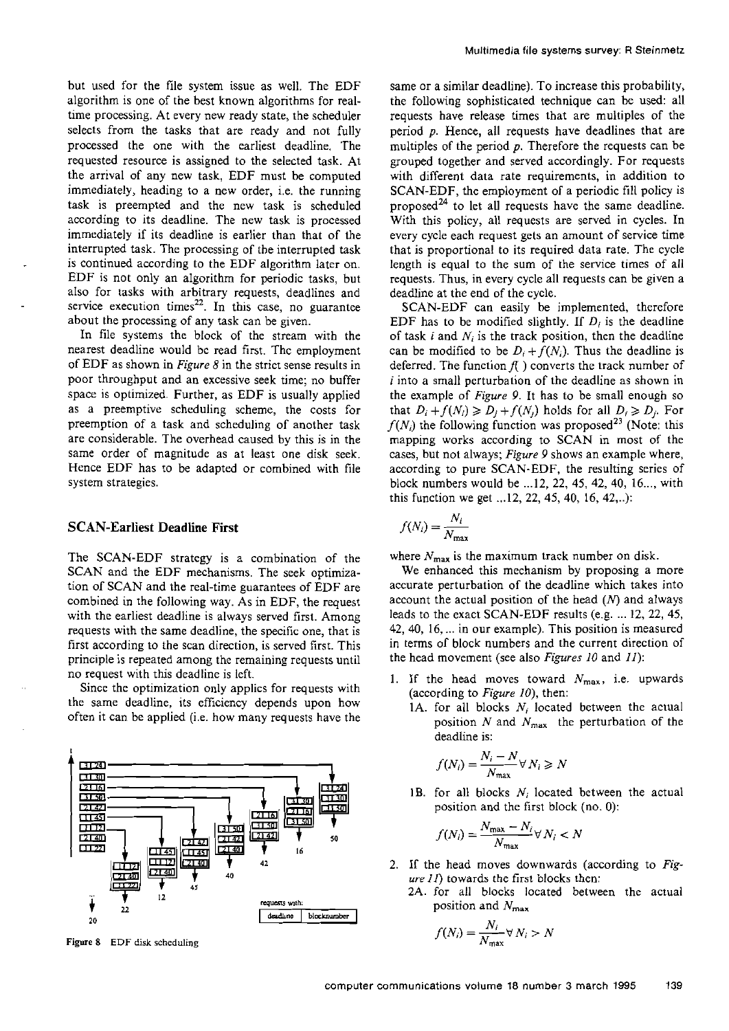but used for the file system issue as well. The EDF algorithm is one of the best known algorithms for realtime processing. At every new ready state, the scheduler selects from the tasks that are ready and not fully processed the one with the earliest deadline. The requested resource is assigned to the selected task. At the arrival of any new task, EDF must be computed immediately, heading to a new order, i.e. the running task is preempted and the new task is scheduled according to its deadline. The ncw task is processed immediately if its deadline is earlier than that of the interrupted task. The processing of the interrupted task is continued according to the EDF algorithm later on. EDF is not only an algorithm for periodic tasks, but also for tasks witb arbitrary requests, deadlines and service execution times<sup>22</sup>. In this case, no guarantee about the processing of any task can be given.

In file Systems the block of the stream with the nearest deadline would bc read first. Thc employment of EDF as shown in *Figure* 8 in the strict sense results in poor throughput and an excessive seek time; no buffer space is optimized. Further, as EDF is usually applied as a preemptive scheduling scheme, the costs for preemption of a task and scheduling of another task are considerable. The overhead caused by this is in the same order of magnitude as at least one disk seck. Hence EDF has to be adapted or combined with file system strategies.

#### **SCAN-Earliest Deadline First**

The SCAN-EDF strategy is a combination of the SCAN and the EDF mechanisms. The seek optimization of SCAN and the real-time guarantees of EDF are combined in the following way. As in EDF, the request with the earliest deadline is always served first. Among requests with the same deadline, the specific one, that is first according to the scan direction, is served first. This principle is repeated among the remaining requests until no request with this deadline is left.

Since the optimization only applics for requests with the same deadline, its efficiency depends upon how often it can be applied (i.e. how many requests have the



**Figure 8 EDF disk scheduling** 

same or a similar deadline). To increase this probability, the following sophisticated technique can be used: all requests have release times that are multiples of the period p. Hence, all requests have deadlines that are multiples of the period  $p$ . Therefore the requests can be grouped together and served accordingly. For requests with different data rate requirements, in addition to SCAN-EDF, the employment of a periodic fill policy is proposed $^{24}$  to let all requests have the same deadline. With this policy, all requests are served in cycles. In every cycle each request gets an arnount of service time that is proportional to its required data rate. The cycle length is equal to the sum of the service times of all requests. Thus, in every cycle all requests can be given a deadline at tbe end of the cycle.

SCAN-EDF can easily be implemented, therefore EDF has to be modified slightly. If  $D_i$  is the deadline of task i and  $N_i$  is the track position, then the deadline can be modified to be  $D_i + f(N_i)$ . Thus the deadline is deferred. The function  $f()$  converts the track number of *i* into a small perturbation of the deadline as shown in the example of *Figure* 9. It has to be small enough so that  $D_i + f(N_i) \ge D_i + f(N_i)$  holds for all  $D_i \ge D_i$ . For  $f(N<sub>i</sub>)$  the following function was proposed<sup>23</sup> (Note: this mapping works according to SCAN in most of the cases, but not always; *Figure* 9 shows an example where, according to pure SCAN-EDF, the resulting series of block numbers would be ... 12, 22, 45, 42, 40, 16 ..., with this function we get  $...12, 22, 45, 40, 16, 42...$ :

$$
f(N_i) = \frac{N_i}{N_{\text{max}}}
$$

where  $N_{\text{max}}$  is the maximum track number on disk.

We enhanced this mechanism by proposing a more accurate perturbation of the deadline which takes into account the actual position of the head  $(N)$  and always leads to the exact SCAN-EDF results (e.g. ... 12, 22, 45, 42, 40, 16, ... in our example). This position is measurcd in terms of block numbers and the current direction of the head movement (See also *Figures* I0 and 11):

- 1. If the head moves toward  $N_{\text{max}}$ , i.e. upwards (according to *Figure* IO), then:
	- 1A. for all blocks  $N_i$  located between the actual position  $N$  and  $N_{\text{max}}$  the perturbation of the deadline is:

$$
f(N_i) = \frac{N_i - N}{N_{\max}} \forall N_i \geq N
$$

1B. for all blocks  $N_i$  located between the actual position and the first block (no. 0):

$$
f(N_i) = \frac{N_{\max} - N_i}{N_{\max}} \forall N_i < N
$$

- 2. If the head moves downwards (according to *Fig* $ure 11$ ) towards the first blocks then:
	- 2A. for all blocks located between the actual

$$
f(N_i) = \frac{N_i}{N_{\max}} \forall N_i > N
$$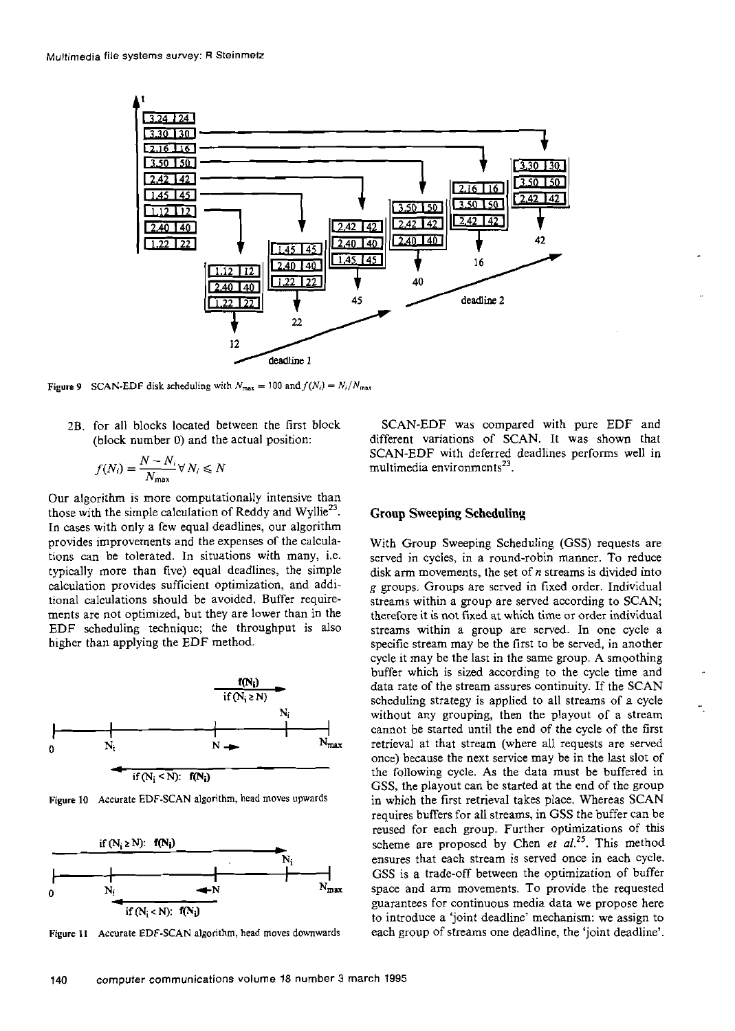

**Figure 9** SCAN-EDF disk scheduling with  $N_{\text{max}} = 100$  and  $f(N_i) = N_i/N_{\text{max}}$ 

$$
f(N_i) = \frac{N - N_i}{N_{\max}} \forall N_i \leq N
$$

Our algorithm is more computationally intensive than those with the simple calculation of Reddy and Wyllie<sup>23</sup>. In cases with only a few equal deadlines, our algorithm provides improvements and the expenses of the calculations can be tolerated. In situations with many, i.e. typically more than five) equal deadlines, the simple calculation provides sufficient optimization, and additional calculations should be avoided. Buffer requirements are not optimized, but they are lower than in the EDF scheduling technique; the throughput is also higher than applying the EDF method.



Figure 10 Accurate EDF-SCAN algorithm, head moves upwards



Figure 11 Accurate EDF-SCAN algorithm, head moves downwards

2B. for all blocks located between the first block SCAN-EDF was compared with pure EDF and (block number 0) and the actual position: different variations of SCAN. It was shown that SCAN-EDF with deferred deadlines performs well in multimedia environments<sup>23</sup>. for all blocks located between the first block<br>
(block number 0) and the actual position: different variations of SCA<br>  $f(N_i) = \frac{N - N_i}{N_{\text{max}}} \forall N_i \le N$ <br>  $f(N_i) = \frac{N - N_i}{N_{\text{max}}} \forall N_i \le N$ 

## **Group Sweeping Scheduling**

With Group Sweeping Scheduling (GSS) requests are served in cycles, in a round-robin manner. To reduce disk arm movements, the set of **n** streams is divided into g groups. Groups are served in fixed order. Individual streams within a group are served according to SCAN; therefore it **is** not fixed at which time or order individual streams within a group are served. In one cycle a specific stream may be the first to be served, in another cycle it may be the last in the same group. A smoothing buffer which is sized according to the cycle time and data rate of the stream assures continuity. If the SCAN scheduling strategy is applied to all streams of a cycle without any grouping, then the playout of a stream cannot be started until the end of the cycle of the first retrieval at that stream (where all requests are served once) because the next service may be in the last slot of the following cycle. As the data must be buffered in GSS, the playout can be started at the end of the group in which the first retrieval takes place. Whereas SCAN requires buffers for all streams, in GSS the buffer can be reused for each group. Further optimizations of this scheme are proposed by Chen *et al.*<sup>25</sup>. This method ensures that each stream is served once in each cycle. GSS is a trade-oß between the optimization of buffer space and arm movements. To provide the requested guarantees for continuous media data we propose here to introduce a 'joint deadline' mechanism: we assign to each group of streams one deadline, the 'joint deadline'.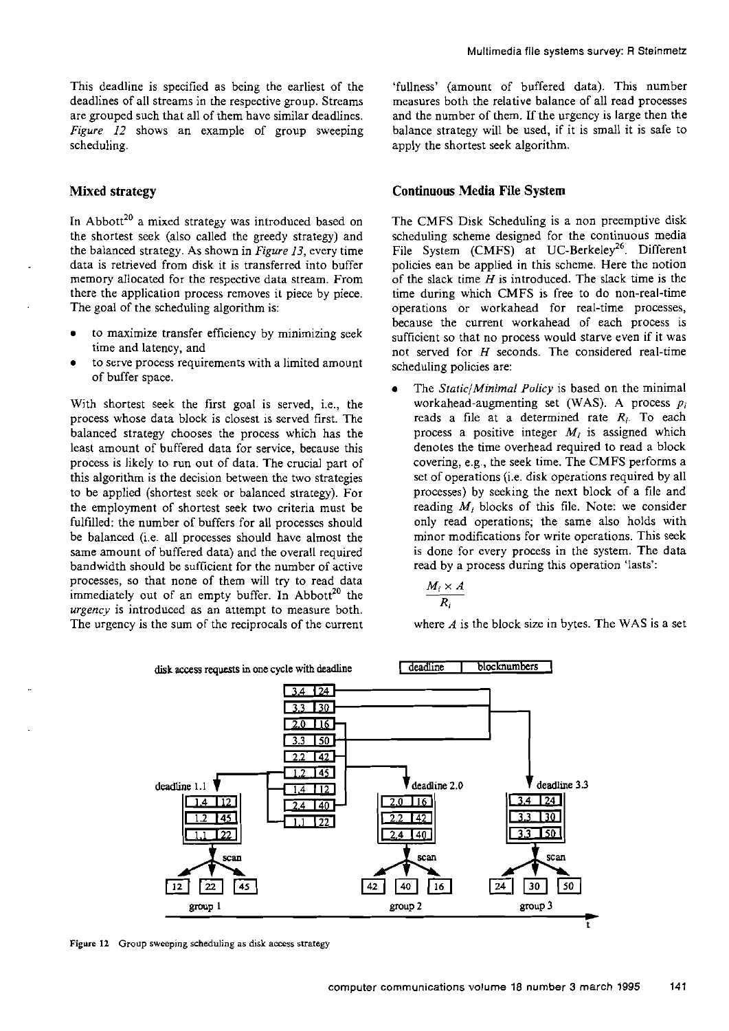This deadline is specified as being the earliest of the 'fullness' (amount of buffered data). This number deadlines of all streams in the respective group. Streams measures both the relative balance of all read processes deadlines of all streams in the respective group. Streams measures both the relative balance of all read processes are grouped such that all of them have similar deadlines. and the number of them. If the urgency is large t *Figure 12* shows an example of group sweeping balance strategy will be used, if it is small it is safe to scheduling.

In Abbott<sup>20</sup> a mixed strategy was introduced based on the shortest seek (also called the greedy strategy) and the balanced strategy. As shown in *Figure* 13, every time data is retrieved from disk it is transferred into buffer memory allocated for the respective data stream. From there the application process removes it piece by piece. The goal of the scheduling algorithm is:

- to maximize transfer efficiency by minimizing seek time and latency, and
- to serve process requirements with a limited amount of buffer space.

With shortest seek the first goal is served, i.e., the process whose data block is closest is served first. The balanced strategy chooses the process which has the least amount of buffered data for service, because this process is likely to run out of data. The crucial part of this algorithm is the decision between the two strategies to be applied (shortest seek or balanced strategy). For the employment of shortest seek two criteria must be fulfilled: the number of buffers for all processes should be balanced (i.e. all processes should have almost the same amount of buffered data) and the overall required bandwidth should be sufficient for the number of active processes, so that none of them will try to read data immediately out of an empty buffer. In Abbott<sup>20</sup> the *urgency* is introduced as an attempt to measure both. The urgency is the sum of the reciprocals of the current

and the number of them. If the urgency is large then the apply the shortest seek algorithm.

#### **Mixed strategy Continuous Media File System**

The CMFS Disk Scheduling is a non preemptive disk scheduling scheme designed for the continuous media File System (CMFS) at UC-Berkeley<sup>26</sup>. Different policies ean be applied in this scheme. Here the notion of the slack time  $H$  is introduced. The slack time is the time during which CMFS is free to do non-real-time operations or workahead for real-time processes, because the current workahead of each process is sufficient so that no process would starve even if it was not served for  $H$  seconds. The considered real-time scheduling policies are:

The *Stalic/Minimal Policy* is based on the minimal workahead-augmenting set (WAS). **A** process p; reads a file at a determined rate **R;.** To each process a positive integer **M;** is assigned which denotes the time overhead required to read a block covering, e.g., the seek time. The CMFS performs a set of operations (i.e. disk operations required by all processes) by seeking the next block of a file and reading  $M_i$  blocks of this file. Note: we consider only read operations; the same also holds with minor modifications for write operations. This seek is done for every process in the System. The data read by a process during this Operation 'lasts':

$$
\frac{M_i \times A}{R_i}
$$

where  $A$  is the block size in bytes. The WAS is a set



**Figure 12 Group sweeping scheduling ar disk access rtrategy**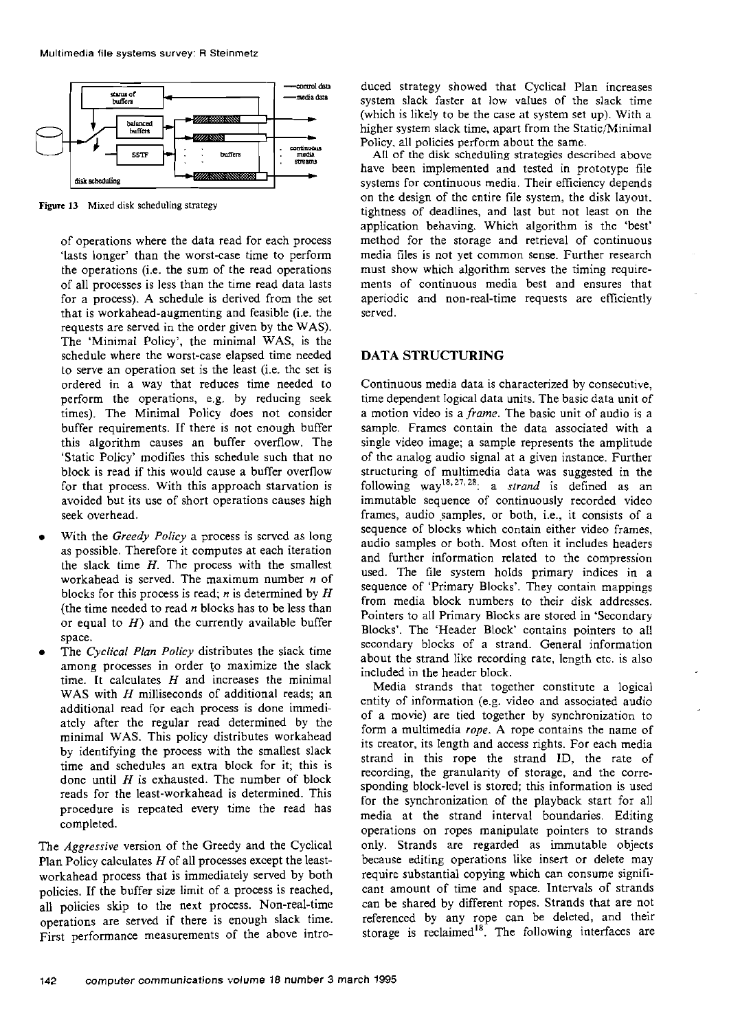

**Figurc 13 Mixed disk** scheduling **strategy** 

of operations where the data read for each process 'lasts longer' than the worst-case time to perfonn the operations (i.e. the sum of the read operations of all processes is less than the time read data lasts for a process). A schedule is derived from the set that is workahead-augmenting and feasible (i.e. the requests are served in the order given by the WAS). The 'Minimal Policy', the minimal WAS, is the schedule where the worst-case elapsed time needed to serve an operation set is the least (i.e. thc set is ordered in a way that reduces time needed to perform the operations, e.g. by reducing seek times). The Minimal Policy does not consider buffer requirements. If there is not enough buffer this algorithm causes an buffer overflow. The 'Static Policy' modifies this schedule such that no block is read if this would cause a buffer overflow for that process. With this approach starvation is avoided but its use of short operations causes high seek overhead.

- With the *Greedy Policy* a process is served as long as possible. Therefore it computes at each iteration the slack time  $H$ . The process with the smallest workahead is served. The maximum number *n* of blocks for this process is read; *n* is determined by H (the time needed to read *n* blocks has to be less than or equal to  $H$ ) and the currently available buffer space.
- The *Cyclical Plan Policy* distributes the slack time among processes in order to maximize the slack time. It calculates  $H$  and increases the minimal WAS with  $H$  milliseconds of additional reads; an additional read for each process is done immediately after the regular read determined by the minimal WAS. This policy distributes workahead by identifying the process with the smallest slack time and schedules an extra block for it; this is done until  $H$  is exhausted. The number of block reads for the least-workahead is determined. This procedure is repeated every time the read has completed.

Plan Policy calculates H of all processes except the least-<br>workabead process that is immediately served by both require substantial copying which can consume signifiworkahead process that is immediately served by both require substantial copying which can consume signifi-<br>nolicies. If the buffer size limit of a process is reached, cant amount of time and space. Intervals of strands policies. If the buffer size limit of a process is reached, cant amount of time and space. Intervals of strands<br>all policies skip to the next process. Non-real-time can be shared by different ropes. Strands that are not all policies skip to the next process. Non-real-time operations are served if there is enough slack time. referenced by any rope can be deleted, and their<br>First performance measurements of the above intro-<br>storage is reclaimed<sup>18</sup>. The following interfaces are First performance measurements of the above intro-

duced strategy showed that Cyclical Plan increases system slack faster at low values of the slack time (which is likely to be the case at system set up). With a higher system slack time, apart from the Static/Minimal Policy, all policies perform about the same.

**All** of the disk scheduling strategies described above have been implemented and tested in prototype file systems for continuous media. Their efficiency depends on the design of the entire file system, the disk layout. tightness of deadlines, and last but not least on the application behaving. Which algorithm is the 'best' method for the storage and retrieval of continuous media files is not yet common sense. Further research must show which algorithm serves the timing requirements of continuous media best and ensures that aperiodic and non-real-time requests are efficiently served.

# **DATA STRUCTURING**

Continuous media data is characterized by consecutive, time dependent logical data units. The basic data unit of a motion video is a *frame.* The basic unit of audio is a sample. Frames contain the data associated with a single video image; a sample represents the amplitude of the analog audio signal at a given instance. Further structuring of multimedia data was suggested in the following way'8.27,28: a *s1rand* is defined as an immutable sequence of continuously recorded video frames, audio samples, or both, i.e., it consists of a sequence of blocks which contain either video frames, audio samples or both. Most often it includes headers and further information related to the compression used. The file system holds primary indices in a sequence of 'Primary Blocks'. They contain mappings from media block numbers to their disk addresses. Pointers to all Primary Blocks are stored in 'Secondary Blocks'. The 'Header Block' contains pointers to all secondary blocks of a strand. General information about the strand like recording rate, length etc. is also included in the header block.

Media strands that together constitute a logical entity of information (e.g. video and associated audio of a movie) are tied together by synchronization to form a multimedia *rope.* A rope contains the name of its creator, its length and access rights. For each media strand in this rope the strand ID, the rate of recording, the granulanty of storage, and the corresponding block-level is stored: this information is used for the synchronization of the playback start for all media at the strand interval boundaries. Editing operations on ropes manipulate pointers to strands The *Aggressive* version of the Greedy and the Cyclical only. Strands are regarded as immutable objects Plan Policy calculates H of all processes except the least-<br>Plan Policy calculates H of all processes except the least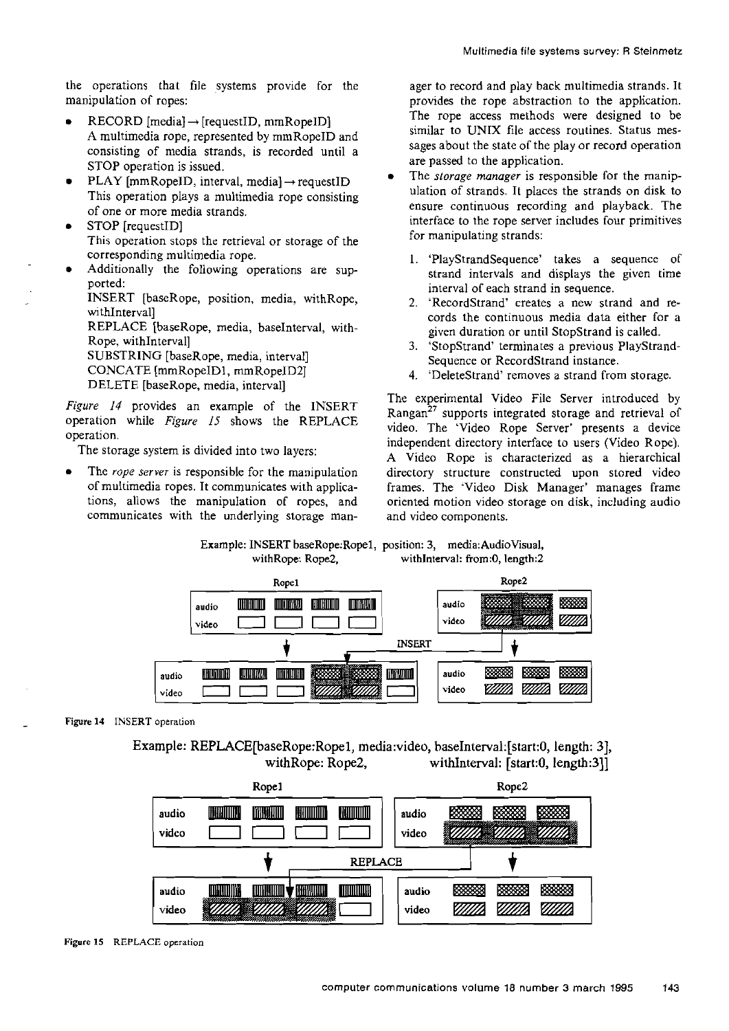the operations that file systems provide for the ager to record and play back multimedia strands. It<br>manipulation of ropes:<br>provides the rope abstraction to the application.

- $RECORD$  [media]  $\rightarrow$  [requestID, mmRopeID] A multimedia rope, represented by mmRopeID and consisting of media strands, is recorded until a STOP operation is issued.
- PLAY [mmRopeID, interval, media]  $\rightarrow$  requestID This operation plays a multimedia rope consisting of one or more media strands.
- STOP [requestID]  $\bullet$ This operation stops the retrieval or storage of the corresponding multimedia rope.
- Additionally the following operations are supported:

INSERT [baseRope, position, media, withRope, withInterval]

REPLACE [baseRope, media, baseInterval, with-Rope, withInterval]

SUBSTRING [baseRope, media, interval] CONCATE (mmRopeID1, mmRopeIDZ] DELETE [baseRope, media, interval]

*Figure 14* provides an example of the INSERT operation while *Figure* **I5** shows the REPLACE operation.

The storage system is divided into two layers:

communicates with the underlying storage man- and video components.

provides the rope abstraction to the application. The rope access methods were designed to be similar to UNIX file access routines. Status messages about the state of the play or record operation are passed to the application.

- The *sioragc manager* is responsible for the manipulation of strands. It places the strands on disk to ensure continuous recording and playback. The interface to the rope server includes four primitives for manipulating strands:
	- I. 'PlayStrandSequence' takes a sequence of strand intervals and displays the given time interval of each strand in sequence.
	- **2.** 'RecordStrand' creates a new strand and records the continuous media data either for a given duration or until StopStrand is called.
	- **3.** 'StopStrand' terminates a previous PlayStrand-Sequence or RecordStrand instance.
	- **4.** 'DeleteStrand' removes a strand from storage.

The experimental Video File Server introduced by  $Rangan<sup>27</sup>$  supports integrated storage and retrieval of video. The 'Video Rope Server' presents a device independent directory interface to users (Video Rope). A Video Rooe is characterized as a hierarchical The *rope server* is responsible for the manipulation directory structure constructed upon stored video of multimedia ropes. It communicates with applica-<br>tions, allows the manipulation of ropes, and oriented motion video storage on disk, including audio oriented motion video storage on disk, including audio

> Example: INSERT baseRope:Ropel, psition: **3,** media:AudioVisual, withInterval: from:0, length:2



Figure 14 **INSERT** operation

Exarnple: REPLACE[baseRope:Ropel, media:video, baseInterval:[start:O, lengih: **31,**  withRope: Rope2, withInterval: [start:0, length:3]]



**Figure 15 REPLACE operation**